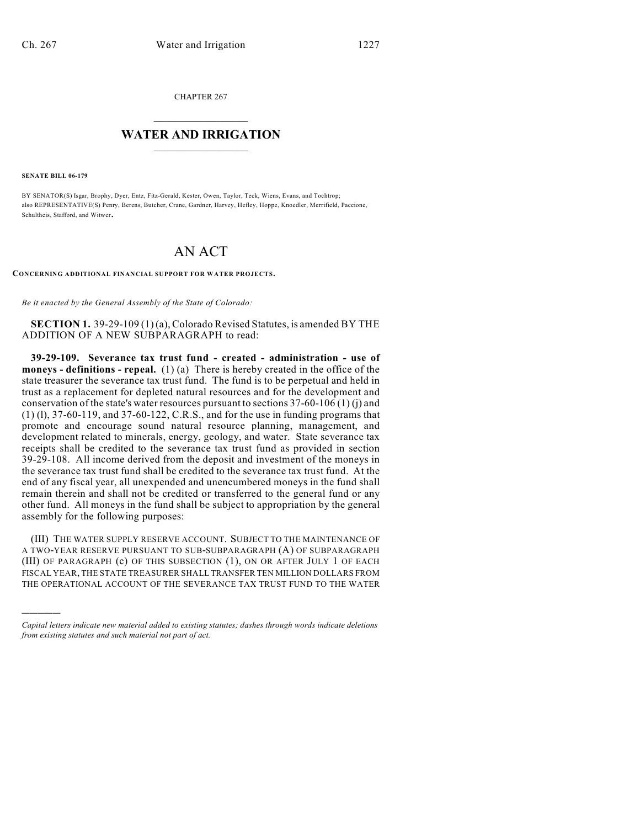CHAPTER 267

## $\overline{\phantom{a}}$  . The set of the set of the set of the set of the set of the set of the set of the set of the set of the set of the set of the set of the set of the set of the set of the set of the set of the set of the set o **WATER AND IRRIGATION**  $\_$   $\_$

**SENATE BILL 06-179**

)))))

BY SENATOR(S) Isgar, Brophy, Dyer, Entz, Fitz-Gerald, Kester, Owen, Taylor, Teck, Wiens, Evans, and Tochtrop; also REPRESENTATIVE(S) Penry, Berens, Butcher, Crane, Gardner, Harvey, Hefley, Hoppe, Knoedler, Merrifield, Paccione, Schultheis, Stafford, and Witwer.

## AN ACT

**CONCERNING ADDITIONAL FINANCIAL SUPPORT FOR WATER PROJECTS.**

*Be it enacted by the General Assembly of the State of Colorado:*

**SECTION 1.** 39-29-109 (1) (a), Colorado Revised Statutes, is amended BY THE ADDITION OF A NEW SUBPARAGRAPH to read:

**39-29-109. Severance tax trust fund - created - administration - use of moneys - definitions - repeal.** (1) (a) There is hereby created in the office of the state treasurer the severance tax trust fund. The fund is to be perpetual and held in trust as a replacement for depleted natural resources and for the development and conservation of the state's water resources pursuant to sections 37-60-106 (1) (j) and (1) (l), 37-60-119, and 37-60-122, C.R.S., and for the use in funding programs that promote and encourage sound natural resource planning, management, and development related to minerals, energy, geology, and water. State severance tax receipts shall be credited to the severance tax trust fund as provided in section 39-29-108. All income derived from the deposit and investment of the moneys in the severance tax trust fund shall be credited to the severance tax trust fund. At the end of any fiscal year, all unexpended and unencumbered moneys in the fund shall remain therein and shall not be credited or transferred to the general fund or any other fund. All moneys in the fund shall be subject to appropriation by the general assembly for the following purposes:

(III) THE WATER SUPPLY RESERVE ACCOUNT. SUBJECT TO THE MAINTENANCE OF A TWO-YEAR RESERVE PURSUANT TO SUB-SUBPARAGRAPH (A) OF SUBPARAGRAPH (III) OF PARAGRAPH (c) OF THIS SUBSECTION (1), ON OR AFTER JULY 1 OF EACH FISCAL YEAR, THE STATE TREASURER SHALL TRANSFER TEN MILLION DOLLARS FROM THE OPERATIONAL ACCOUNT OF THE SEVERANCE TAX TRUST FUND TO THE WATER

*Capital letters indicate new material added to existing statutes; dashes through words indicate deletions from existing statutes and such material not part of act.*